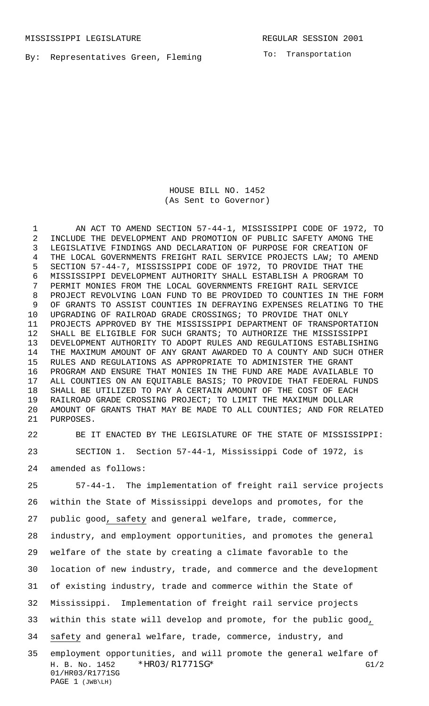By: Representatives Green, Fleming

To: Transportation

HOUSE BILL NO. 1452 (As Sent to Governor)

 AN ACT TO AMEND SECTION 57-44-1, MISSISSIPPI CODE OF 1972, TO INCLUDE THE DEVELOPMENT AND PROMOTION OF PUBLIC SAFETY AMONG THE LEGISLATIVE FINDINGS AND DECLARATION OF PURPOSE FOR CREATION OF THE LOCAL GOVERNMENTS FREIGHT RAIL SERVICE PROJECTS LAW; TO AMEND SECTION 57-44-7, MISSISSIPPI CODE OF 1972, TO PROVIDE THAT THE MISSISSIPPI DEVELOPMENT AUTHORITY SHALL ESTABLISH A PROGRAM TO PERMIT MONIES FROM THE LOCAL GOVERNMENTS FREIGHT RAIL SERVICE PROJECT REVOLVING LOAN FUND TO BE PROVIDED TO COUNTIES IN THE FORM OF GRANTS TO ASSIST COUNTIES IN DEFRAYING EXPENSES RELATING TO THE UPGRADING OF RAILROAD GRADE CROSSINGS; TO PROVIDE THAT ONLY PROJECTS APPROVED BY THE MISSISSIPPI DEPARTMENT OF TRANSPORTATION SHALL BE ELIGIBLE FOR SUCH GRANTS; TO AUTHORIZE THE MISSISSIPPI DEVELOPMENT AUTHORITY TO ADOPT RULES AND REGULATIONS ESTABLISHING THE MAXIMUM AMOUNT OF ANY GRANT AWARDED TO A COUNTY AND SUCH OTHER RULES AND REGULATIONS AS APPROPRIATE TO ADMINISTER THE GRANT PROGRAM AND ENSURE THAT MONIES IN THE FUND ARE MADE AVAILABLE TO ALL COUNTIES ON AN EQUITABLE BASIS; TO PROVIDE THAT FEDERAL FUNDS SHALL BE UTILIZED TO PAY A CERTAIN AMOUNT OF THE COST OF EACH RAILROAD GRADE CROSSING PROJECT; TO LIMIT THE MAXIMUM DOLLAR AMOUNT OF GRANTS THAT MAY BE MADE TO ALL COUNTIES; AND FOR RELATED PURPOSES.

 BE IT ENACTED BY THE LEGISLATURE OF THE STATE OF MISSISSIPPI: SECTION 1. Section 57-44-1, Mississippi Code of 1972, is

amended as follows:

H. B. No. 1452 \* HRO3/R1771SG\* G1/2 01/HR03/R1771SG 57-44-1. The implementation of freight rail service projects within the State of Mississippi develops and promotes, for the public good, safety and general welfare, trade, commerce, industry, and employment opportunities, and promotes the general welfare of the state by creating a climate favorable to the location of new industry, trade, and commerce and the development of existing industry, trade and commerce within the State of Mississippi. Implementation of freight rail service projects within this state will develop and promote, for the public good, safety and general welfare, trade, commerce, industry, and employment opportunities, and will promote the general welfare of

PAGE 1 (JWB\LH)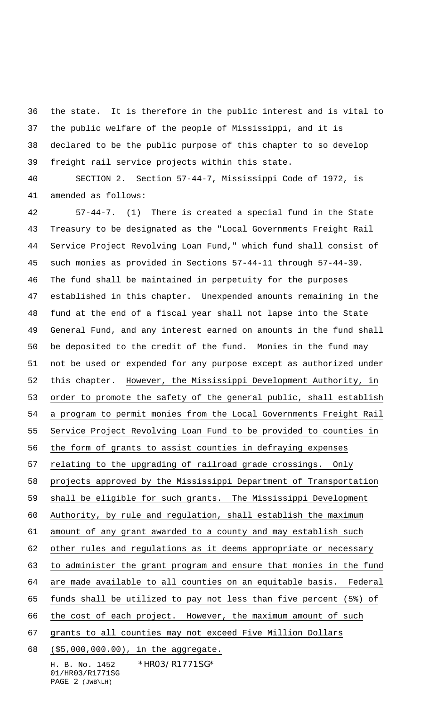the state. It is therefore in the public interest and is vital to the public welfare of the people of Mississippi, and it is declared to be the public purpose of this chapter to so develop freight rail service projects within this state.

 SECTION 2. Section 57-44-7, Mississippi Code of 1972, is amended as follows:

 57-44-7. (1) There is created a special fund in the State Treasury to be designated as the "Local Governments Freight Rail Service Project Revolving Loan Fund," which fund shall consist of such monies as provided in Sections 57-44-11 through 57-44-39. The fund shall be maintained in perpetuity for the purposes established in this chapter. Unexpended amounts remaining in the fund at the end of a fiscal year shall not lapse into the State General Fund, and any interest earned on amounts in the fund shall be deposited to the credit of the fund. Monies in the fund may not be used or expended for any purpose except as authorized under this chapter. However, the Mississippi Development Authority, in 53 order to promote the safety of the general public, shall establish a program to permit monies from the Local Governments Freight Rail Service Project Revolving Loan Fund to be provided to counties in the form of grants to assist counties in defraying expenses relating to the upgrading of railroad grade crossings. Only projects approved by the Mississippi Department of Transportation shall be eligible for such grants. The Mississippi Development Authority, by rule and regulation, shall establish the maximum amount of any grant awarded to a county and may establish such other rules and regulations as it deems appropriate or necessary to administer the grant program and ensure that monies in the fund are made available to all counties on an equitable basis. Federal funds shall be utilized to pay not less than five percent (5%) of the cost of each project. However, the maximum amount of such grants to all counties may not exceed Five Million Dollars (\$5,000,000.00), in the aggregate.

H. B. No. 1452 \*HR03/R1771SG\* 01/HR03/R1771SG PAGE 2 (JWB\LH)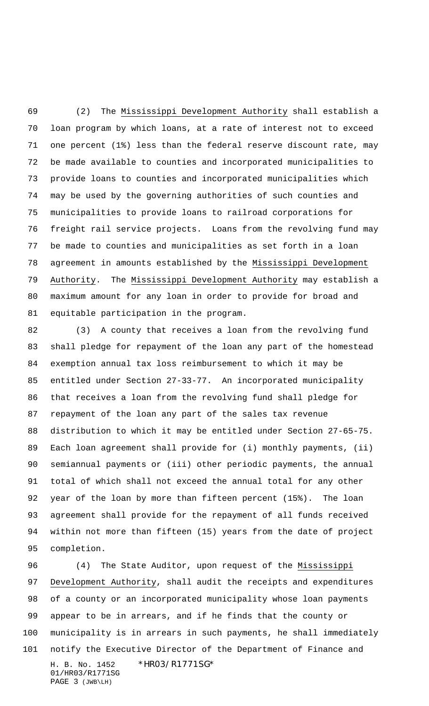(2) The Mississippi Development Authority shall establish a loan program by which loans, at a rate of interest not to exceed one percent (1%) less than the federal reserve discount rate, may be made available to counties and incorporated municipalities to provide loans to counties and incorporated municipalities which may be used by the governing authorities of such counties and municipalities to provide loans to railroad corporations for freight rail service projects. Loans from the revolving fund may be made to counties and municipalities as set forth in a loan agreement in amounts established by the Mississippi Development 79 Authority. The Mississippi Development Authority may establish a maximum amount for any loan in order to provide for broad and equitable participation in the program.

 (3) A county that receives a loan from the revolving fund shall pledge for repayment of the loan any part of the homestead exemption annual tax loss reimbursement to which it may be entitled under Section 27-33-77. An incorporated municipality that receives a loan from the revolving fund shall pledge for repayment of the loan any part of the sales tax revenue distribution to which it may be entitled under Section 27-65-75. Each loan agreement shall provide for (i) monthly payments, (ii) semiannual payments or (iii) other periodic payments, the annual total of which shall not exceed the annual total for any other year of the loan by more than fifteen percent (15%). The loan agreement shall provide for the repayment of all funds received within not more than fifteen (15) years from the date of project completion.

H. B. No. 1452 \*HR03/R1771SG\* 01/HR03/R1771SG PAGE 3 (JWB\LH) (4) The State Auditor, upon request of the Mississippi Development Authority, shall audit the receipts and expenditures of a county or an incorporated municipality whose loan payments appear to be in arrears, and if he finds that the county or municipality is in arrears in such payments, he shall immediately notify the Executive Director of the Department of Finance and